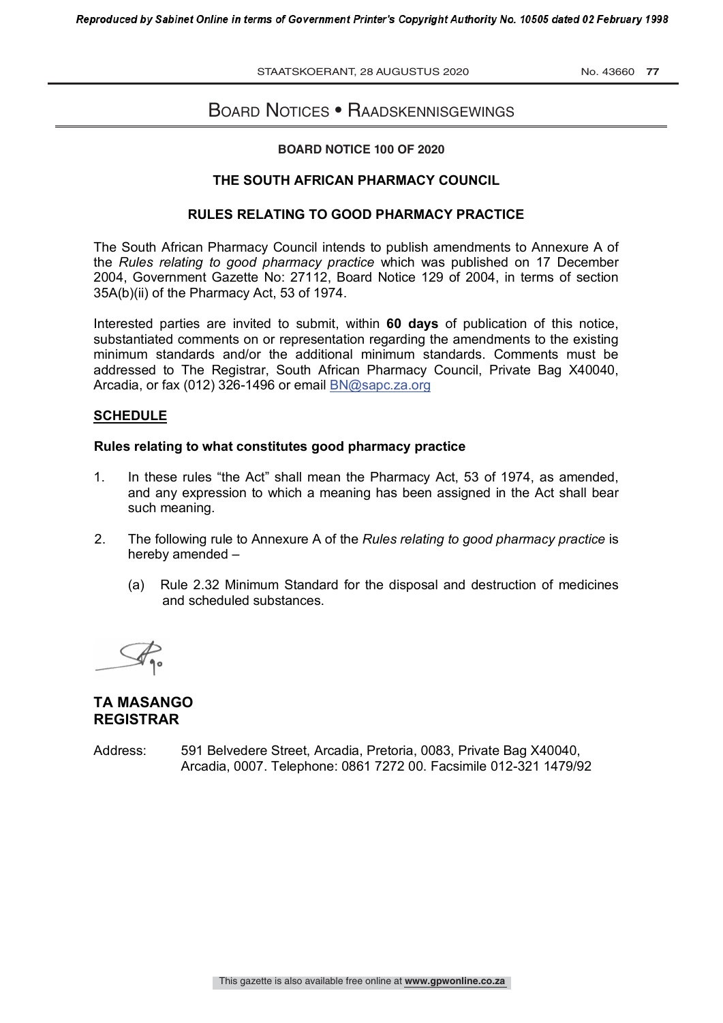STAATSKOERANT, 28 AUGUSTUS 2020 No. 43660 **77**

# BOARD NOTICES • RAADSKENNISGEWINGS

## **BOARD NOTICE 100 OF 2020 BOARD NOTICE NO \_\_\_ OF 2020**

### **THE SOUTH AFRICAN PHARMACY COUNCIL**

### **RULES RELATING TO GOOD PHARMACY PRACTICE**

The South African Pharmacy Council intends to publish amendments to Annexure A of the *Rules relating to good pharmacy practice* which was published on 17 December 2004, Government Gazette No: 27112, Board Notice 129 of 2004, in terms of section 35A(b)(ii) of the Pharmacy Act, 53 of 1974.

Interested parties are invited to submit, within **60 days** of publication of this notice, substantiated comments on or representation regarding the amendments to the existing minimum standards and/or the additional minimum standards. Comments must be addressed to The Registrar, South African Pharmacy Council, Private Bag X40040, Arcadia, or fax (012) 326-1496 or email BN@sapc.za.org

### **SCHEDULE**

#### **Rules relating to what constitutes good pharmacy practice**

- 1. In these rules "the Act" shall mean the Pharmacy Act, 53 of 1974, as amended, and any expression to which a meaning has been assigned in the Act shall bear such meaning.
- 2. The following rule to Annexure A of the *Rules relating to good pharmacy practice* is hereby amended –
	- (a) Rule 2.32 Minimum Standard for the disposal and destruction of medicines and scheduled substances.

 $#$ 

## **TA MASANGO REGISTRAR**

Address: 591 Belvedere Street, Arcadia, Pretoria, 0083, Private Bag X40040, Arcadia, 0007. Telephone: 0861 7272 00. Facsimile 012-321 1479/92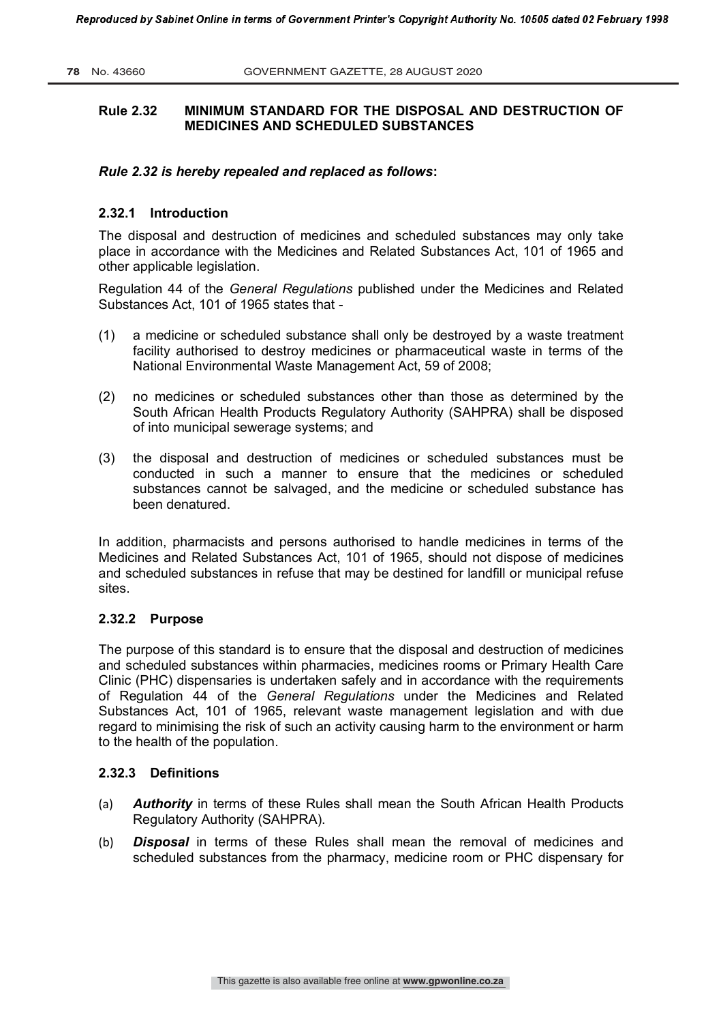## **Rule 2.32 MINIMUM STANDARD FOR THE DISPOSAL AND DESTRUCTION OF MEDICINES AND SCHEDULED SUBSTANCES**

#### *Rule 2.32 is hereby repealed and replaced as follows***:**

#### **2.32.1 Introduction**

The disposal and destruction of medicines and scheduled substances may only take place in accordance with the Medicines and Related Substances Act, 101 of 1965 and other applicable legislation.

Regulation 44 of the *General Regulations* published under the Medicines and Related Substances Act, 101 of 1965 states that -

- (1) a medicine or scheduled substance shall only be destroyed by a waste treatment facility authorised to destroy medicines or pharmaceutical waste in terms of the National Environmental Waste Management Act, 59 of 2008;
- (2) no medicines or scheduled substances other than those as determined by the South African Health Products Regulatory Authority (SAHPRA) shall be disposed of into municipal sewerage systems; and
- (3) the disposal and destruction of medicines or scheduled substances must be conducted in such a manner to ensure that the medicines or scheduled substances cannot be salvaged, and the medicine or scheduled substance has been denatured.

In addition, pharmacists and persons authorised to handle medicines in terms of the Medicines and Related Substances Act, 101 of 1965, should not dispose of medicines and scheduled substances in refuse that may be destined for landfill or municipal refuse sites.

#### **2.32.2 Purpose**

The purpose of this standard is to ensure that the disposal and destruction of medicines and scheduled substances within pharmacies, medicines rooms or Primary Health Care Clinic (PHC) dispensaries is undertaken safely and in accordance with the requirements of Regulation 44 of the *General Regulations* under the Medicines and Related Substances Act, 101 of 1965, relevant waste management legislation and with due regard to minimising the risk of such an activity causing harm to the environment or harm to the health of the population.

#### **2.32.3 Definitions**

- (a) *Authority* in terms of these Rules shall mean the South African Health Products Regulatory Authority (SAHPRA).
- (b) *Disposal* in terms of these Rules shall mean the removal of medicines and scheduled substances from the pharmacy, medicine room or PHC dispensary for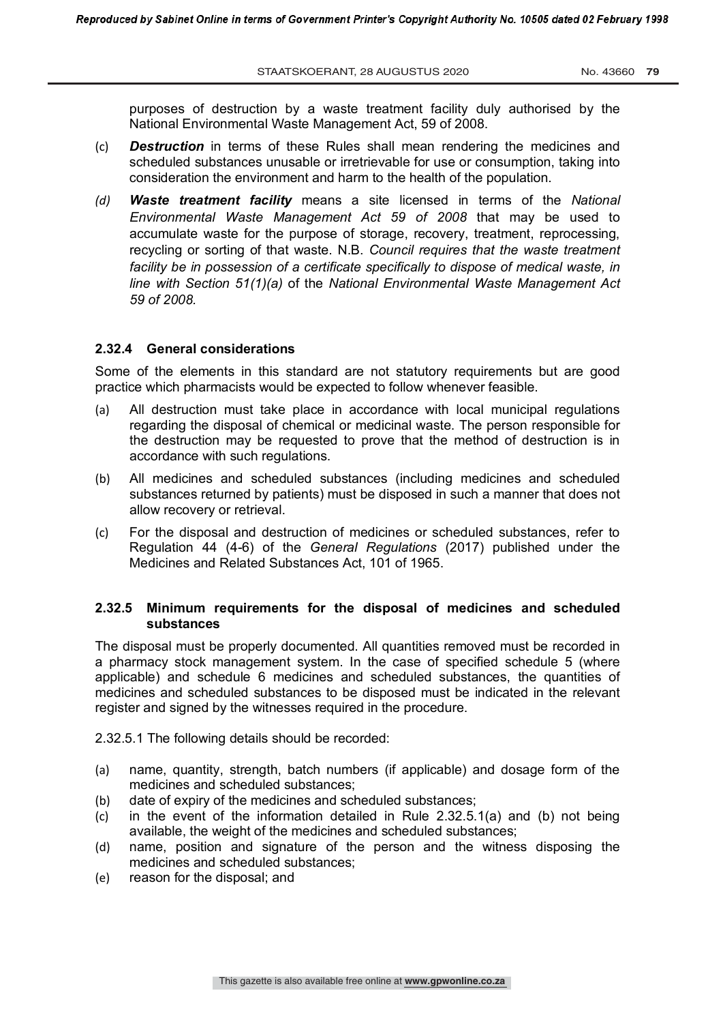purposes of destruction by a waste treatment facility duly authorised by the National Environmental Waste Management Act, 59 of 2008.

- (c) *Destruction* in terms of these Rules shall mean rendering the medicines and scheduled substances unusable or irretrievable for use or consumption, taking into consideration the environment and harm to the health of the population.
- *(d) Waste treatment facility* means a site licensed in terms of the *National Environmental Waste Management Act 59 of 2008* that may be used to accumulate waste for the purpose of storage, recovery, treatment, reprocessing, recycling or sorting of that waste. N.B. *Council requires that the waste treatment facility be in possession of a certificate specifically to dispose of medical waste, in line with Section 51(1)(a)* of the *National Environmental Waste Management Act 59 of 2008.*

#### **2.32.4 General considerations**

Some of the elements in this standard are not statutory requirements but are good practice which pharmacists would be expected to follow whenever feasible.

- (a) All destruction must take place in accordance with local municipal regulations regarding the disposal of chemical or medicinal waste. The person responsible for the destruction may be requested to prove that the method of destruction is in accordance with such regulations.
- (b) All medicines and scheduled substances (including medicines and scheduled substances returned by patients) must be disposed in such a manner that does not allow recovery or retrieval.
- (c) For the disposal and destruction of medicines or scheduled substances, refer to Regulation 44 (4-6) of the *General Regulations* (2017) published under the Medicines and Related Substances Act, 101 of 1965.

#### **2.32.5 Minimum requirements for the disposal of medicines and scheduled substances**

The disposal must be properly documented. All quantities removed must be recorded in a pharmacy stock management system. In the case of specified schedule 5 (where applicable) and schedule 6 medicines and scheduled substances, the quantities of medicines and scheduled substances to be disposed must be indicated in the relevant register and signed by the witnesses required in the procedure.

2.32.5.1 The following details should be recorded:

- (a) name, quantity, strength, batch numbers (if applicable) and dosage form of the medicines and scheduled substances;
- (b) date of expiry of the medicines and scheduled substances;
- (c) in the event of the information detailed in Rule 2.32.5.1(a) and (b) not being available, the weight of the medicines and scheduled substances;
- (d) name, position and signature of the person and the witness disposing the medicines and scheduled substances;
- (e) reason for the disposal; and